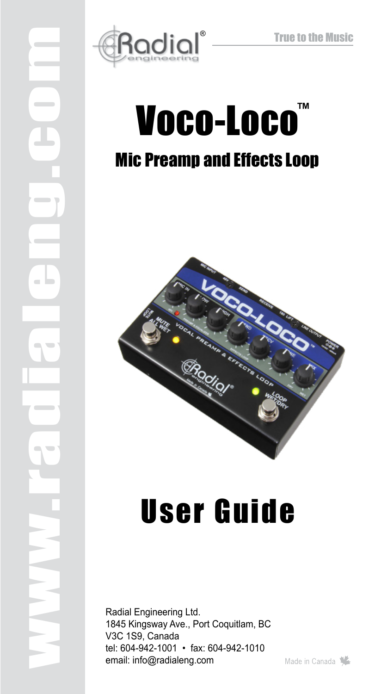

www.radialeng.com

# Voco-Loco ™Mic Preamp and Effects Loop



# User Guide

Radial Engineering Ltd. 1845 Kingsway Ave., Port Coquitlam, BC V3C 1S9, Canada tel: 604-942-1001 • fax: 604-942-1010 email: info@radialeng.com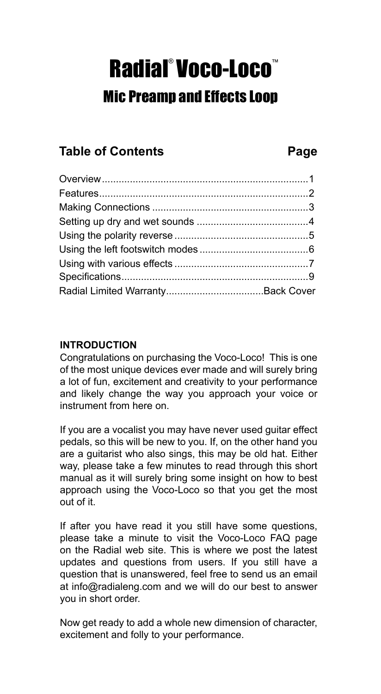# Radial° Voco-Loco<sup>®</sup> Mic Preamp and Effects Loop

# **Table of Contents Page**

#### **INTRODUCTION**

Congratulations on purchasing the Voco-Loco! This is one of the most unique devices ever made and will surely bring a lot of fun, excitement and creativity to your performance and likely change the way you approach your voice or instrument from here on.

If you are a vocalist you may have never used guitar effect pedals, so this will be new to you. If, on the other hand you are a guitarist who also sings, this may be old hat. Either way, please take a few minutes to read through this short manual as it will surely bring some insight on how to best approach using the Voco-Loco so that you get the most out of it.

If after you have read it you still have some questions, please take a minute to visit the Voco-Loco FAQ page on the Radial web site. This is where we post the latest updates and questions from users. If you still have a question that is unanswered, feel free to send us an email at info@radialeng.com and we will do our best to answer you in short order.

Now get ready to add a whole new dimension of character, excitement and folly to your performance.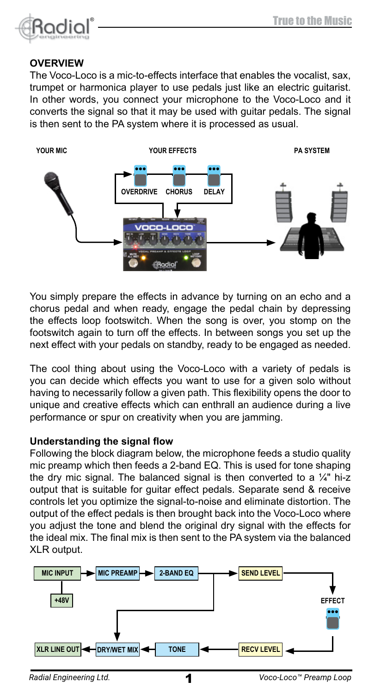

#### **OVERVIEW**

The Voco-Loco is a mic-to-effects interface that enables the vocalist, sax, trumpet or harmonica player to use pedals just like an electric guitarist. In other words, you connect your microphone to the Voco-Loco and it converts the signal so that it may be used with guitar pedals. The signal is then sent to the PA system where it is processed as usual.



You simply prepare the effects in advance by turning on an echo and a chorus pedal and when ready, engage the pedal chain by depressing the effects loop footswitch. When the song is over, you stomp on the footswitch again to turn off the effects. In between songs you set up the next effect with your pedals on standby, ready to be engaged as needed.

The cool thing about using the Voco-Loco with a variety of pedals is you can decide which effects you want to use for a given solo without having to necessarily follow a given path. This flexibility opens the door to unique and creative effects which can enthrall an audience during a live performance or spur on creativity when you are jamming.

#### **Understanding the signal flow**

Following the block diagram below, the microphone feeds a studio quality mic preamp which then feeds a 2-band EQ. This is used for tone shaping the dry mic signal. The balanced signal is then converted to a  $\frac{1}{4}$ " hi-z output that is suitable for guitar effect pedals. Separate send & receive controls let you optimize the signal-to-noise and eliminate distortion. The output of the effect pedals is then brought back into the Voco-Loco where you adjust the tone and blend the original dry signal with the effects for the ideal mix. The final mix is then sent to the PA system via the balanced XLR output.



1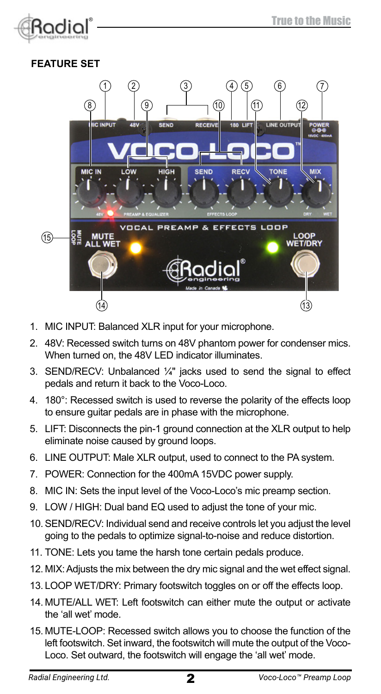

# **FEATURE SET**



- 1. MIC INPUT: Balanced XLR input for your microphone.
- 2. 48V: Recessed switch turns on 48V phantom power for condenser mics. When turned on, the 48V LED indicator illuminates.
- 3. SEND/RECV: Unbalanced ¼" jacks used to send the signal to effect pedals and return it back to the Voco-Loco.
- 4. 180°: Recessed switch is used to reverse the polarity of the effects loop to ensure guitar pedals are in phase with the microphone.
- 5. LIFT: Disconnects the pin-1 ground connection at the XLR output to help eliminate noise caused by ground loops.
- 6. LINE OUTPUT: Male XLR output, used to connect to the PA system.
- 7. POWER: Connection for the 400mA 15VDC power supply.
- 8. MIC IN: Sets the input level of the Voco-Loco's mic preamp section.
- 9. LOW / HIGH: Dual band EQ used to adjust the tone of your mic.
- 10.SEND/RECV: Individual send and receive controls let you adjust the level going to the pedals to optimize signal-to-noise and reduce distortion.
- 11. TONE: Lets you tame the harsh tone certain pedals produce.
- 12. MIX: Adjusts the mix between the dry mic signal and the wet effect signal.
- 13. LOOP WET/DRY: Primary footswitch toggles on or off the effects loop.
- 14. MUTE/ALL WET: Left footswitch can either mute the output or activate the 'all wet' mode.
- 15. MUTE-LOOP: Recessed switch allows you to choose the function of the left footswitch. Set inward, the footswitch will mute the output of the Voco-Loco. Set outward, the footswitch will engage the 'all wet' mode.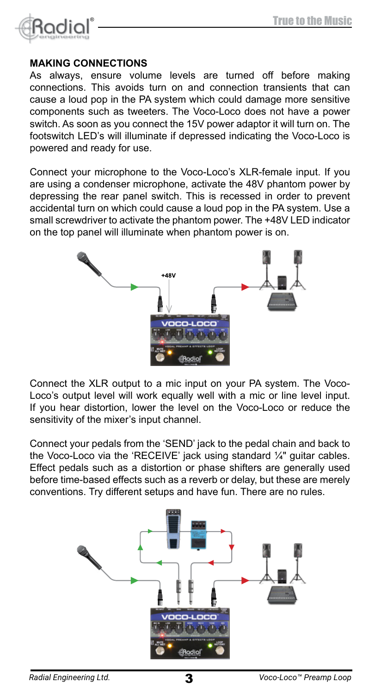

#### **MAKING CONNECTIONS**

As always, ensure volume levels are turned off before making connections. This avoids turn on and connection transients that can cause a loud pop in the PA system which could damage more sensitive components such as tweeters. The Voco-Loco does not have a power switch. As soon as you connect the 15V power adaptor it will turn on. The footswitch LED's will illuminate if depressed indicating the Voco-Loco is powered and ready for use.

Connect your microphone to the Voco-Loco's XLR-female input. If you are using a condenser microphone, activate the 48V phantom power by depressing the rear panel switch. This is recessed in order to prevent accidental turn on which could cause a loud pop in the PA system. Use a small screwdriver to activate the phantom power. The +48V LED indicator on the top panel will illuminate when phantom power is on.



Connect the XLR output to a mic input on your PA system. The Voco-Loco's output level will work equally well with a mic or line level input. If you hear distortion, lower the level on the Voco-Loco or reduce the sensitivity of the mixer's input channel.

Connect your pedals from the 'SEND' jack to the pedal chain and back to the Voco-Loco via the 'RECEIVE' jack using standard ¼" guitar cables. Effect pedals such as a distortion or phase shifters are generally used before time-based effects such as a reverb or delay, but these are merely conventions. Try different setups and have fun. There are no rules.

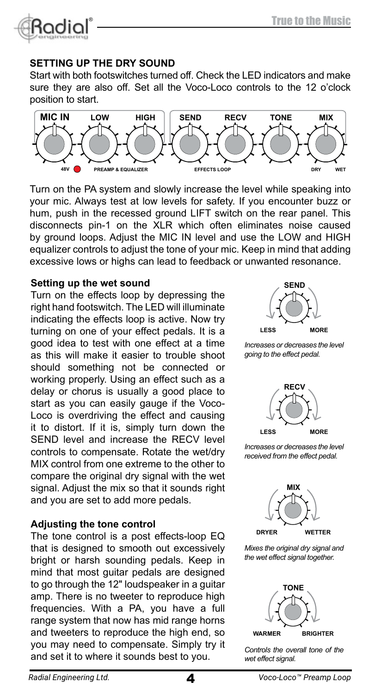

#### **SETTING UP THE DRY SOUND**

Start with both footswitches turned off. Check the LED indicators and make sure they are also off. Set all the Voco-Loco controls to the 12 o'clock position to start. position to start.



Furn on the PA system and slowly increase the level while speaking into your mic. Always test at low levels for safety. If you encounter buzz or Turn on the PA system and slowly increase the level while speaking into hum, push in the recessed ground LIFT switch on the rear panel. This disconnects pin-1 on the XLR which often eliminates noise caused by ground loops. Adjust the MIC IN level and use the LOW and HIGH equalizer controls to adjust the tone of your mic. Keep in mind that adding excessive lows or highs can lead to feedback or unwanted resonance.

#### **Setting up the wet sound**

**Turn on the effects loop by depressing the**  $\left(\frac{1}{2}\right)$ right hand footswitch. The LED will illuminate indicating the effects loop is active. Now try turning on one of your effect pedals. It is a good idea to test with one effect at a time *Increases or decreases the level* as this will make it easier to trouble shoot going to the effect pedal. should something not be connected or<br> **WOCO-LOCO-LOCOCO-LOCOCO-LOCOCO-LOCOCO**<br> **WOCK** working properly. Using an effect such as a delay or chorus is usually a good place to  $\overline{H}$ start as you can easily gauge if the Voco-Loco is overdriving the effect and causing it to distort. If it is, simply turn down the SEND level and increase the RECV level controls to compensate. Rotate the wet/dry moreases or decreases the let MIX control from one extreme to the other to MIX control from one extreme to the other to<br>compare the original dry signal with the wet **k** signal. Adjust the mix so that it sounds right \_\_\_\_\_\_\_\_\_\_\_\_\_\_\_\_\_\_\_\_\_\_\_\_\_\_\_\_\_\_ and you are set to add more pedals. **EXECUTER INSTRUMENT INCOMEDIAL CONSUMING THE OWNER**<br> **Increases** or decreases the level

#### **Adjusting the tone control**

The tone control is a post effects-loop EQ that is designed to smooth out excessively Mixes the original dry signal and<br>htight or borsh counding podels Keep in the wet effect signal together. bright or harsh sounding pedals. Keep in the wet effect signal together. bight of harsh sounding pedals. Reep in the anti-accepted<br>mind that most guitar pedals are designed<br>the pedal of the sounding and the sounding to go through the 12" loudspeaker in a guitar amp. There is no tweeter to reproduce high  $\left( \frac{1}{\sqrt{N}} \right)$ frequencies. With a PA, you have a full range system that now has mid range horns and tweeters to reproduce the high end, so you may need to compensate. Simply try it controls the over **and set it to where it sounds best to you. Loop** *Wester effect signal. LOOP* 



**LOOP** *going to the effect pedal.* **RECEIVE 180 LIFT LINE OUTPUT** *Increases or decreases the level* 



**15VDC · 400mA LOOP** *received from the effect pedal.*



*Incos inc* original dry signal and<br>*the wet effect signal together. Rely Mixes the original dry signal and* 



*Controls the overall tone of the wet effect signal.*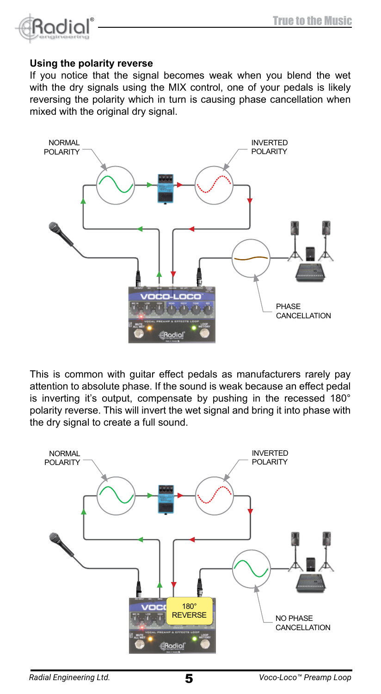

#### **Using the polarity reverse**

If you notice that the signal becomes weak when you blend the wet with the dry signals using the MIX control, one of your pedals is likely reversing the polarity which in turn is causing phase cancellation when mixed with the original dry signal.



This is common with guitar effect pedals as manufacturers rarely pay attention to absolute phase. If the sound is weak because an effect pedal is inverting it's output, compensate by pushing in the recessed 180° polarity reverse. This will invert the wet signal and bring it into phase with the dry signal to create a full sound.

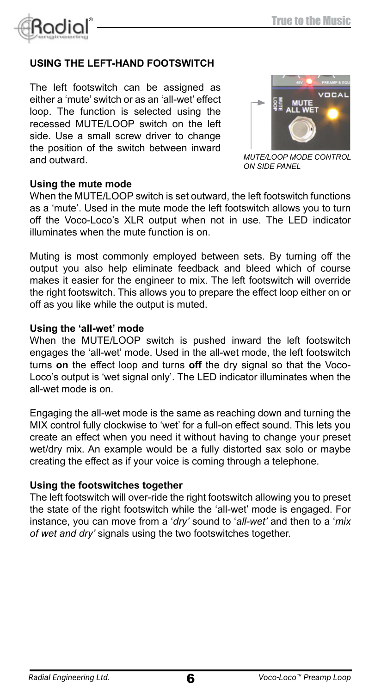

#### **USING THE LEFT-HAND FOOTSWITCH**

The left footswitch can be assigned as either a 'mute' switch or as an 'all-wet' effect loop. The function is selected using the recessed MUTE/LOOP switch on the left side. Use a small screw driver to change the position of the switch between inward and outward.



*MUTE/LOOP MODE CONTROL ON SIDE PANEL*

#### **Using the mute mode**

When the MUTE/LOOP switch is set outward, the left footswitch functions as a 'mute'. Used in the mute mode the left footswitch allows you to turn off the Voco-Loco's XLR output when not in use. The LED indicator illuminates when the mute function is on.

Muting is most commonly employed between sets. By turning off the output you also help eliminate feedback and bleed which of course makes it easier for the engineer to mix. The left footswitch will override the right footswitch. This allows you to prepare the effect loop either on or off as you like while the output is muted.

#### **Using the 'all-wet' mode**

When the MUTE/LOOP switch is pushed inward the left footswitch engages the 'all-wet' mode. Used in the all-wet mode, the left footswitch turns **on** the effect loop and turns **off** the dry signal so that the Voco-Loco's output is 'wet signal only'. The LED indicator illuminates when the all-wet mode is on.

Engaging the all-wet mode is the same as reaching down and turning the MIX control fully clockwise to 'wet' for a full-on effect sound. This lets you create an effect when you need it without having to change your preset wet/dry mix. An example would be a fully distorted sax solo or maybe creating the effect as if your voice is coming through a telephone.

#### **Using the footswitches together**

The left footswitch will over-ride the right footswitch allowing you to preset the state of the right footswitch while the 'all-wet' mode is engaged. For instance, you can move from a '*dry'* sound to '*all-wet'* and then to a '*mix of wet and dry'* signals using the two footswitches together.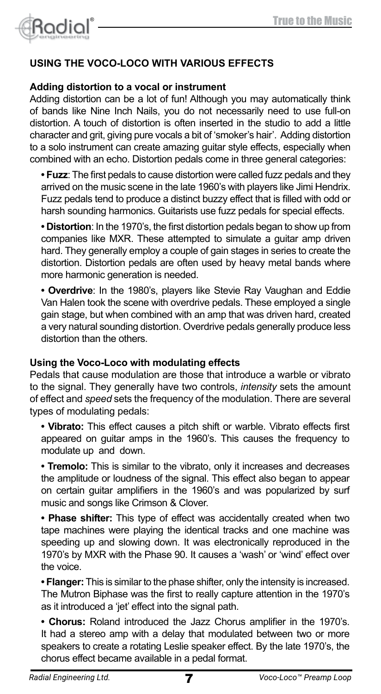

## **USING THE VOCO-LOCO WITH VARIOUS EFFECTS**

#### **Adding distortion to a vocal or instrument**

Adding distortion can be a lot of fun! Although you may automatically think of bands like Nine Inch Nails, you do not necessarily need to use full-on distortion. A touch of distortion is often inserted in the studio to add a little character and grit, giving pure vocals a bit of 'smoker's hair'. Adding distortion to a solo instrument can create amazing guitar style effects, especially when combined with an echo. Distortion pedals come in three general categories:

**• Fuzz**: The first pedals to cause distortion were called fuzz pedals and they arrived on the music scene in the late 1960's with players like Jimi Hendrix. Fuzz pedals tend to produce a distinct buzzy effect that is filled with odd or harsh sounding harmonics. Guitarists use fuzz pedals for special effects.

**• Distortion**: In the 1970's, the first distortion pedals began to show up from companies like MXR. These attempted to simulate a guitar amp driven hard. They generally employ a couple of gain stages in series to create the distortion. Distortion pedals are often used by heavy metal bands where more harmonic generation is needed.

**• Overdrive**: In the 1980's, players like Stevie Ray Vaughan and Eddie Van Halen took the scene with overdrive pedals. These employed a single gain stage, but when combined with an amp that was driven hard, created a very natural sounding distortion. Overdrive pedals generally produce less distortion than the others.

#### **Using the Voco-Loco with modulating effects**

Pedals that cause modulation are those that introduce a warble or vibrato to the signal. They generally have two controls, *intensity* sets the amount of effect and *speed* sets the frequency of the modulation. There are several types of modulating pedals:

**• Vibrato:** This effect causes a pitch shift or warble. Vibrato effects first appeared on guitar amps in the 1960's. This causes the frequency to modulate up and down.

**• Tremolo:** This is similar to the vibrato, only it increases and decreases the amplitude or loudness of the signal. This effect also began to appear on certain guitar amplifiers in the 1960's and was popularized by surf music and songs like Crimson & Clover.

**• Phase shifter:** This type of effect was accidentally created when two tape machines were playing the identical tracks and one machine was speeding up and slowing down. It was electronically reproduced in the 1970's by MXR with the Phase 90. It causes a 'wash' or 'wind' effect over the voice.

**• Flanger:** This is similar to the phase shifter, only the intensity is increased. The Mutron Biphase was the first to really capture attention in the 1970's as it introduced a 'jet' effect into the signal path.

**• Chorus:** Roland introduced the Jazz Chorus amplifier in the 1970's. It had a stereo amp with a delay that modulated between two or more speakers to create a rotating Leslie speaker effect. By the late 1970's, the chorus effect became available in a pedal format.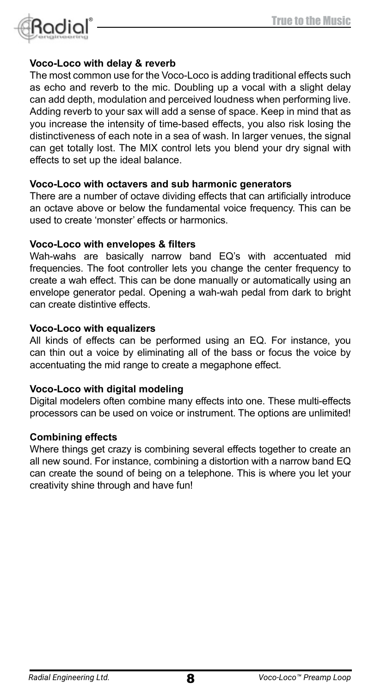

#### **Voco-Loco with delay & reverb**

The most common use for the Voco-Loco is adding traditional effects such as echo and reverb to the mic. Doubling up a vocal with a slight delay can add depth, modulation and perceived loudness when performing live. Adding reverb to your sax will add a sense of space. Keep in mind that as you increase the intensity of time-based effects, you also risk losing the distinctiveness of each note in a sea of wash. In larger venues, the signal can get totally lost. The MIX control lets you blend your dry signal with effects to set up the ideal balance.

#### **Voco-Loco with octavers and sub harmonic generators**

There are a number of octave dividing effects that can artificially introduce an octave above or below the fundamental voice frequency. This can be used to create 'monster' effects or harmonics.

#### **Voco-Loco with envelopes & filters**

Wah-wahs are basically narrow band EQ's with accentuated mid frequencies. The foot controller lets you change the center frequency to create a wah effect. This can be done manually or automatically using an envelope generator pedal. Opening a wah-wah pedal from dark to bright can create distintive effects.

#### **Voco-Loco with equalizers**

All kinds of effects can be performed using an EQ. For instance, you can thin out a voice by eliminating all of the bass or focus the voice by accentuating the mid range to create a megaphone effect.

#### **Voco-Loco with digital modeling**

Digital modelers often combine many effects into one. These multi-effects processors can be used on voice or instrument. The options are unlimited!

#### **Combining effects**

Where things get crazy is combining several effects together to create an all new sound. For instance, combining a distortion with a narrow band EQ can create the sound of being on a telephone. This is where you let your creativity shine through and have fun!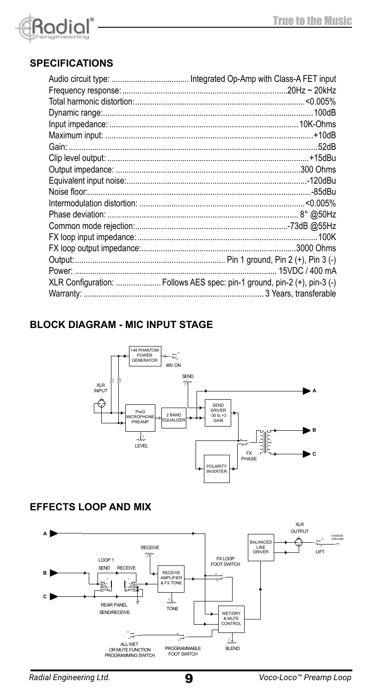

# **SPECIFICATIONS**

| 52dB                                                                     |
|--------------------------------------------------------------------------|
|                                                                          |
|                                                                          |
|                                                                          |
|                                                                          |
|                                                                          |
|                                                                          |
|                                                                          |
|                                                                          |
|                                                                          |
|                                                                          |
|                                                                          |
| XLR Configuration:  Follows AES spec: pin-1 ground, pin-2 (+), pin-3 (-) |
|                                                                          |

# **BLOCK DIAGRAM - MIC INPUT STAGE**



#### **EFFECTS LOOP AND MIX**